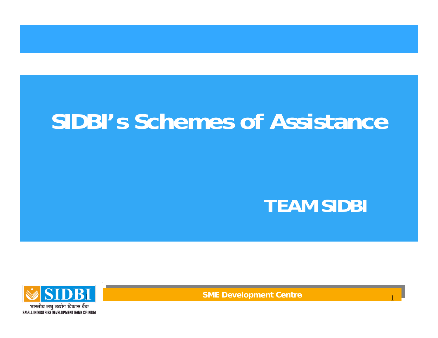# **SIDBI's Schemes of Assistance**

### **TEAM SIDBI**

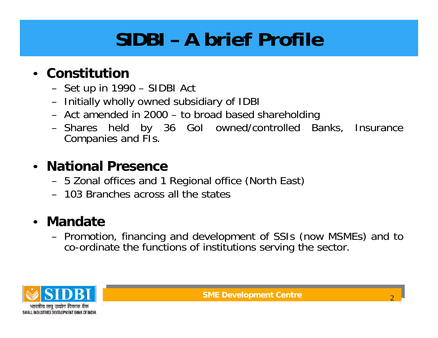### **SIDBI – A brief Profile**

#### • **Constitution**

- Set up in 1990 SIDBI Act
- Initially wholly owned subsidiary of IDBI
- Act amended in 2000 to broad based shareholding
- Shares held by 36 GoI owned/controlled Banks, Insurance Companies and FIs.

#### • **National Presence**

- 5 Zonal offices and 1 Regional office (North East)
- 103 Branches across all the states

#### • **Mandate**

– Promotion, financing and development of SSIs (now MSMEs) and to co-ordinate the functions of institutions serving the sector.

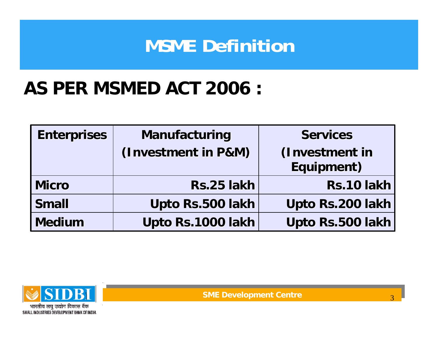### **MSME Definition**

### **AS PER MSMED ACT 2006 :**

| <b>Enterprises</b> | Manufacturing       | <b>Services</b>  |
|--------------------|---------------------|------------------|
|                    | (Investment in P&M) | (Investment in   |
|                    |                     | Equipment)       |
| Micro              | Rs.25 lakh          | Rs.10 lakh       |
| <b>Small</b>       | Upto Rs.500 lakh    | Upto Rs.200 lakh |
| Medium             | Upto Rs.1000 lakh   | Upto Rs.500 lakh |



**SME Development Centre SME Development Centre**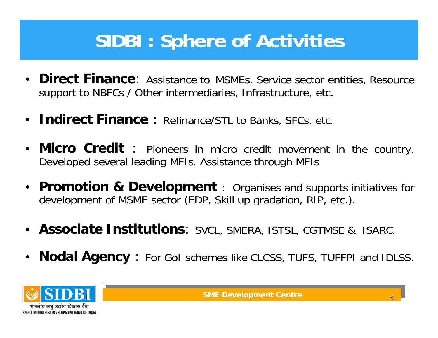### **SIDBI : Sphere of Activities**

- **Direct Finance**: Assistance to MSMEs, Service sector entities, Resource support to NBFCs / Other intermediaries, Infrastructure, etc.
- **Indirect Finance** : Refinance/STL to Banks, SFCs, etc.
- **Micro Credit** : Pioneers in micro credit movement in the country. Developed several leading MFIs. Assistance through MFIs
- **Promotion & Development** : Organises and supports initiatives for development of MSME sector (EDP, Skill up gradation, RIP, etc.).
- **Associate Institutions**: SVCL, SMERA, ISTSL, CGTMSE & ISARC.
- **Nodal Agency** : For GoI schemes like CLCSS, TUFS, TUFFPI and IDLSS.

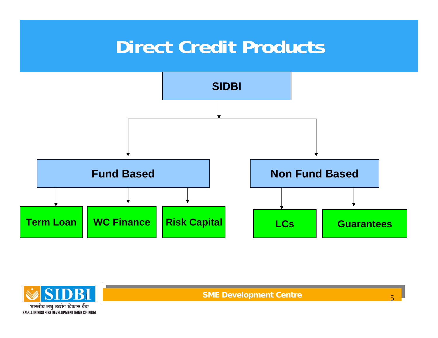### **Direct Credit Products**





**SME Development Centre SME Development Centre**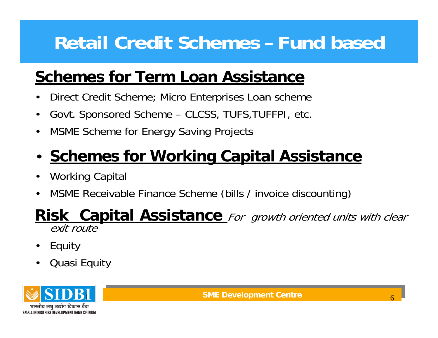### **Retail Credit Schemes – Fund based**

### **Schemes for Term Loan Assistance**

- Direct Credit Scheme; Micro Enterprises Loan scheme
- Govt. Sponsored Scheme CLCSS, TUFS,TUFFPI, etc.
- MSME Scheme for Energy Saving Projects

### • **Schemes for Working Capital Assistance**

- Working Capital
- MSME Receivable Finance Scheme (bills / invoice discounting)

# **Risk Capital Assistance** For growth oriented units with clear exit route

- Equity
- Quasi Equity

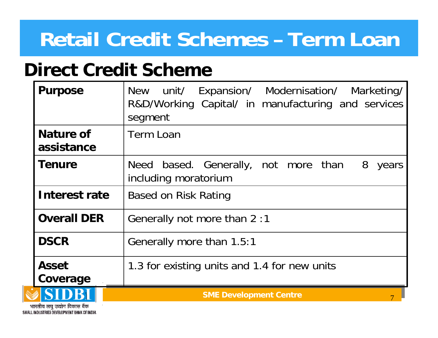### **Direct Credit Scheme**

| <b>Purpose</b>                 | New unit/ Expansion/ Modernisation/ Marketing/<br>R&D/Working Capital/ in manufacturing and services<br>segment |
|--------------------------------|-----------------------------------------------------------------------------------------------------------------|
| <b>Nature of</b><br>assistance | <b>Term Loan</b>                                                                                                |
| <b>Tenure</b>                  | Need based. Generally, not more than<br>8<br>years<br>including moratorium                                      |
| Interest rate                  | <b>Based on Risk Rating</b>                                                                                     |
| <b>Overall DER</b>             | Generally not more than 2:1                                                                                     |
| <b>DSCR</b>                    | Generally more than 1.5:1                                                                                       |
| <b>Asset</b><br>Coverage       | 1.3 for existing units and 1.4 for new units                                                                    |
|                                | <b>SME Development Centre</b>                                                                                   |

भारतीय लघ उद्योग विकास बैंक SMALL INDUSTRIES DEVELOPMENT BANK OF INDIA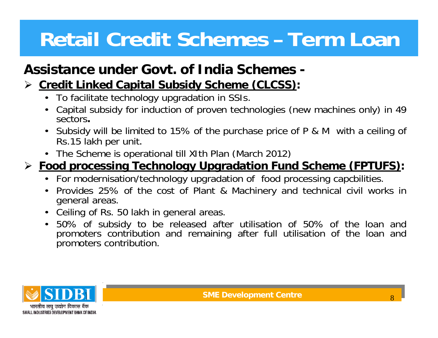### **Assistance under Govt. of India Schemes -**

#### ¾**Credit Linked Capital Subsidy Scheme (CLCSS):**

- To facilitate technology upgradation in SSIs.
- Capital subsidy for induction of proven technologies (new machines only) in 49 sectors**.**
- Subsidy will be limited to 15% of the purchase price of P & M with a ceiling of Rs.15 lakh per unit.
- The Scheme is operational till XIth Plan (March 2012)

#### ¾ **Food processing Technology Upgradation Fund Scheme (FPTUFS):**

- For modernisation/technology upgradation of food processing capcbilities.
- Provides 25% of the cost of Plant & Machinery and technical civil works in general areas.
- Ceiling of Rs. 50 lakh in general areas.
- 50% of subsidy to be released after utilisation of 50% of the loan and promoters contribution and remaining after full utilisation of the loan and promoters contribution.

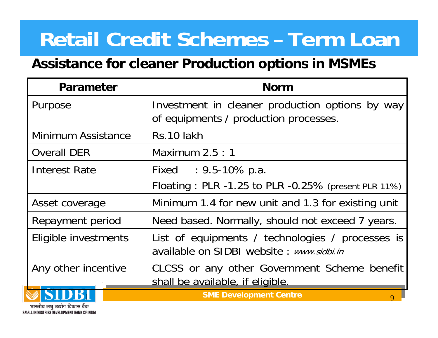#### **Assistance for cleaner Production options in MSMEs**

| Parameter            | <b>Norm</b>                                                                                   |
|----------------------|-----------------------------------------------------------------------------------------------|
| Purpose              | Investment in cleaner production options by way<br>of equipments / production processes.      |
| Minimum Assistance   | Rs.10 lakh                                                                                    |
| <b>Overall DER</b>   | Maximum $2.5:1$                                                                               |
| Interest Rate        | Fixed : 9.5-10% p.a.<br>Floating: PLR -1.25 to PLR -0.25% (present PLR 11%)                   |
| Asset coverage       | Minimum 1.4 for new unit and 1.3 for existing unit                                            |
| Repayment period     | Need based. Normally, should not exceed 7 years.                                              |
| Eligible investments | List of equipments / technologies / processes is<br>available on SIDBI website : www.sidbi.in |
| Any other incentive  | CLCSS or any other Government Scheme benefit<br>shall be available, if eligible.              |
|                      | <b>SME Development Centre</b><br>$\overline{Q}$                                               |

ोय लघ उद्योग विकास बैंक SMALL INDUSTRIES DEVELOPMENT BANK OF INDIA.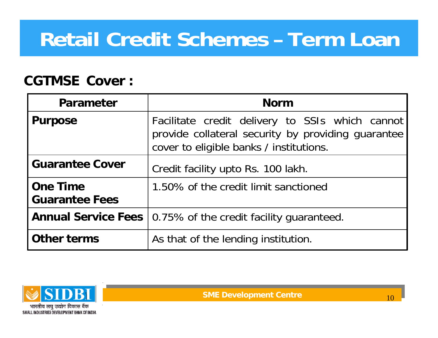#### **CGTMSE Cover :**

| <b>Parameter</b>                  | <b>Norm</b>                                                                                                                                      |
|-----------------------------------|--------------------------------------------------------------------------------------------------------------------------------------------------|
| <b>Purpose</b>                    | Facilitate credit delivery to SSIs which cannot<br>provide collateral security by providing guarantee<br>cover to eligible banks / institutions. |
| <b>Guarantee Cover</b>            | Credit facility upto Rs. 100 lakh.                                                                                                               |
| One Time<br><b>Guarantee Fees</b> | 1.50% of the credit limit sanctioned                                                                                                             |
|                                   | <b>Annual Service Fees</b>   0.75% of the credit facility guaranteed.                                                                            |
| Other terms                       | As that of the lending institution.                                                                                                              |

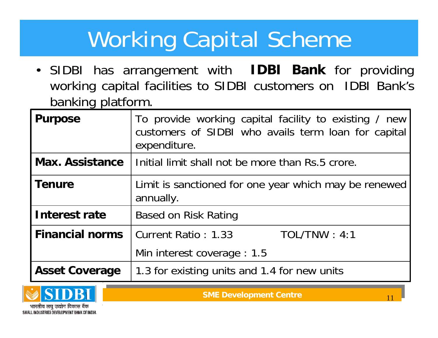# Working Capital Scheme

• SIDBI has arrangement with **IDBI Bank** for providing working capital facilities to SIDBI customers on IDBI Bank's banking platform.

| <b>Purpose</b>         | To provide working capital facility to existing / new<br>customers of SIDBI who avails term loan for capital<br>expenditure. |
|------------------------|------------------------------------------------------------------------------------------------------------------------------|
| <b>Max. Assistance</b> | Initial limit shall not be more than Rs.5 crore.                                                                             |
| <b>Tenure</b>          | Limit is sanctioned for one year which may be renewed<br>annually.                                                           |
| Interest rate          | <b>Based on Risk Rating</b>                                                                                                  |
| <b>Financial norms</b> | Current Ratio: 1.33<br>TOL/TNW : 4:1                                                                                         |
|                        | Min interest coverage : 1.5                                                                                                  |
| <b>Asset Coverage</b>  | 1.3 for existing units and 1.4 for new units                                                                                 |

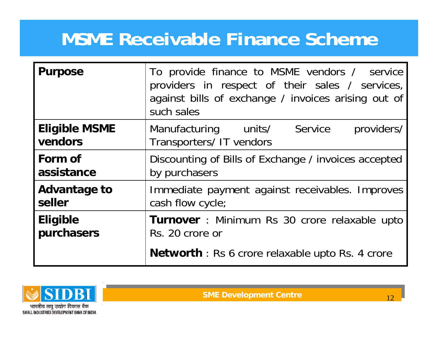### **MSME Receivable Finance Scheme**

| <b>Purpose</b>                  | To provide finance to MSME vendors / service<br>providers in respect of their sales / services,<br>against bills of exchange / invoices arising out of<br>such sales |  |
|---------------------------------|----------------------------------------------------------------------------------------------------------------------------------------------------------------------|--|
| <b>Eligible MSME</b><br>vendors | Service<br>providers/<br>Manufacturing units/<br>Transporters/ IT vendors                                                                                            |  |
| Form of                         | Discounting of Bills of Exchange / invoices accepted                                                                                                                 |  |
| assistance                      | by purchasers                                                                                                                                                        |  |
| Advantage to                    | Immediate payment against receivables. Improves                                                                                                                      |  |
| seller                          | cash flow cycle;                                                                                                                                                     |  |
| <b>Eligible</b>                 | <b>Turnover</b> : Minimum Rs 30 crore relaxable upto                                                                                                                 |  |
| purchasers                      | Rs. 20 crore or                                                                                                                                                      |  |
|                                 | <b>Networth</b> : Rs 6 crore relaxable upto Rs. 4 crore                                                                                                              |  |

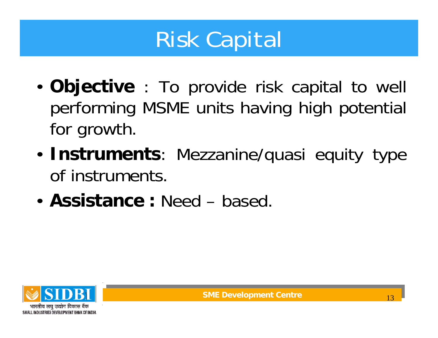# Risk Capital

- **Objective** : To provide risk capital to well performing MSME units having high potential for growth.
- **Instruments**: Mezzanine/quasi equity type of instruments.
- **Assistance :** Need based.

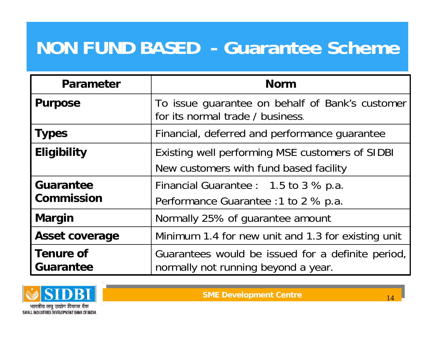### **NON FUND BASED - Guarantee Scheme**

| Parameter                             | <b>Norm</b>                                                                               |
|---------------------------------------|-------------------------------------------------------------------------------------------|
| <b>Purpose</b>                        | To issue guarantee on behalf of Bank's customer<br>for its normal trade / business.       |
| <b>Types</b>                          | Financial, deferred and performance guarantee                                             |
| <b>Eligibility</b>                    | Existing well performing MSE customers of SIDBI<br>New customers with fund based facility |
| <b>Guarantee</b><br><b>Commission</b> | Financial Guarantee : 1.5 to 3 % p.a.<br>Performance Guarantee : 1 to 2 % p.a.            |
| <b>Margin</b>                         | Normally 25% of guarantee amount                                                          |
| <b>Asset coverage</b>                 | Minimum 1.4 for new unit and 1.3 for existing unit                                        |
| <b>Tenure of</b><br><b>Guarantee</b>  | Guarantees would be issued for a definite period,<br>normally not running beyond a year.  |

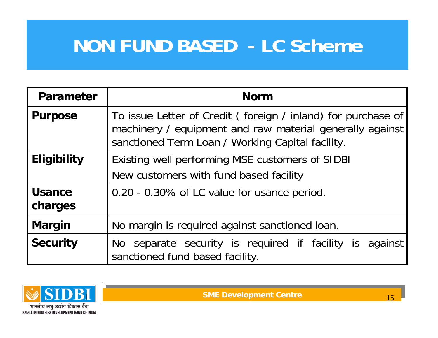### **NON FUND BASED - LC Scheme**

| Parameter                | <b>Norm</b>                                                                                                                                                                  |
|--------------------------|------------------------------------------------------------------------------------------------------------------------------------------------------------------------------|
| <b>Purpose</b>           | To issue Letter of Credit (foreign / inland) for purchase of<br>machinery / equipment and raw material generally against<br>sanctioned Term Loan / Working Capital facility. |
| <b>Eligibility</b>       | Existing well performing MSE customers of SIDBI<br>New customers with fund based facility                                                                                    |
| <b>Usance</b><br>charges | 0.20 - 0.30% of LC value for usance period.                                                                                                                                  |
| <b>Margin</b>            | No margin is required against sanctioned loan.                                                                                                                               |
| <b>Security</b>          | No separate security is required if facility is against<br>sanctioned fund based facility.                                                                                   |

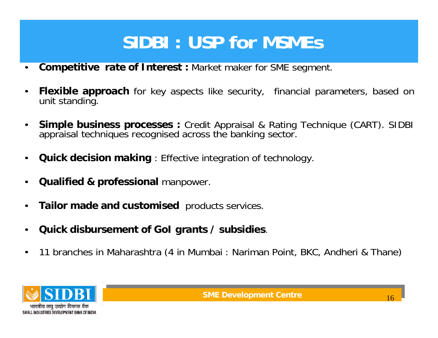### **SIDBI : USP for MSMEs**

- **Competitive rate of Interest :** Market maker for SME segment.
- **Flexible approach** for key aspects like security, financial parameters, based on unit standing.
- **Simple business processes :** Credit Appraisal & Rating Technique (CART). SIDBI appraisal techniques recognised across the banking sector.
- **Quick decision making** : Effective integration of technology.
- **Qualified & professional** manpower.
- **Tailor made and customised** products services.
- **Quick disbursement of GoI grants / subsidies**.
- 11 branches in Maharashtra (4 in Mumbai : Nariman Point, BKC, Andheri & Thane)